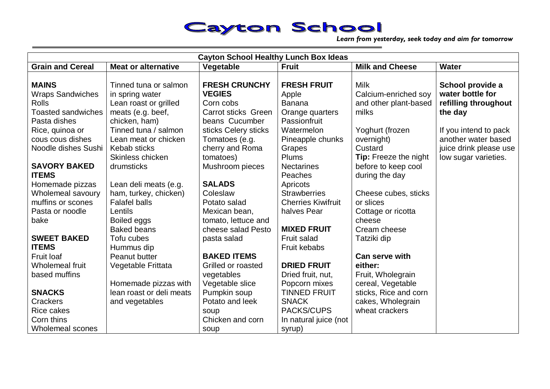*Learn from yesterday, seek today and aim for tomorrow*

| <b>Cayton School Healthy Lunch Box Ideas</b> |                            |                            |                           |                        |                        |
|----------------------------------------------|----------------------------|----------------------------|---------------------------|------------------------|------------------------|
| <b>Grain and Cereal</b>                      | <b>Meat or alternative</b> | Vegetable                  | <b>Fruit</b>              | <b>Milk and Cheese</b> | <b>Water</b>           |
| <b>MAINS</b>                                 | Tinned tuna or salmon      | <b>FRESH CRUNCHY</b>       | <b>FRESH FRUIT</b>        | Milk                   | School provide a       |
| <b>Wraps Sandwiches</b>                      | in spring water            | <b>VEGIES</b>              | Apple                     | Calcium-enriched soy   | water bottle for       |
| Rolls                                        | Lean roast or grilled      | Corn cobs                  | <b>Banana</b>             | and other plant-based  | refilling throughout   |
| <b>Toasted sandwiches</b>                    | meats (e.g. beef,          | <b>Carrot sticks Green</b> | Orange quarters           | milks                  | the day                |
| Pasta dishes                                 | chicken, ham)              | beans Cucumber             | Passionfruit              |                        |                        |
| Rice, quinoa or                              | Tinned tuna / salmon       | sticks Celery sticks       | Watermelon                | Yoghurt (frozen        | If you intend to pack  |
| cous cous dishes                             | Lean meat or chicken       | Tomatoes (e.g.             | Pineapple chunks          | overnight)             | another water based    |
| Noodle dishes Sushi                          | Kebab sticks               | cherry and Roma            | Grapes                    | Custard                | juice drink please use |
|                                              | Skinless chicken           | tomatoes)                  | <b>Plums</b>              | Tip: Freeze the night  | low sugar varieties.   |
| <b>SAVORY BAKED</b>                          | drumsticks                 | Mushroom pieces            | <b>Nectarines</b>         | before to keep cool    |                        |
| <b>ITEMS</b>                                 |                            |                            | Peaches                   | during the day         |                        |
| Homemade pizzas                              | Lean deli meats (e.g.      | <b>SALADS</b>              | Apricots                  |                        |                        |
| Wholemeal savoury                            | ham, turkey, chicken)      | Coleslaw                   | <b>Strawberries</b>       | Cheese cubes, sticks   |                        |
| muffins or scones                            | <b>Falafel balls</b>       | Potato salad               | <b>Cherries Kiwifruit</b> | or slices              |                        |
| Pasta or noodle                              | Lentils                    | Mexican bean,              | halves Pear               | Cottage or ricotta     |                        |
| bake                                         | Boiled eggs                | tomato, lettuce and        |                           | cheese                 |                        |
|                                              | <b>Baked beans</b>         | cheese salad Pesto         | <b>MIXED FRUIT</b>        | Cream cheese           |                        |
| <b>SWEET BAKED</b>                           | Tofu cubes                 | pasta salad                | Fruit salad               | Tatziki dip            |                        |
| <b>ITEMS</b>                                 | Hummus dip                 |                            | Fruit kebabs              |                        |                        |
| <b>Fruit loaf</b>                            | Peanut butter              | <b>BAKED ITEMS</b>         |                           | <b>Can serve with</b>  |                        |
| Wholemeal fruit                              | Vegetable Frittata         | Grilled or roasted         | <b>DRIED FRUIT</b>        | either:                |                        |
| based muffins                                |                            | vegetables                 | Dried fruit, nut,         | Fruit, Wholegrain      |                        |
|                                              | Homemade pizzas with       | Vegetable slice            | Popcorn mixes             | cereal, Vegetable      |                        |
| <b>SNACKS</b>                                | lean roast or deli meats   | Pumpkin soup               | <b>TINNED FRUIT</b>       | sticks, Rice and corn  |                        |
| <b>Crackers</b>                              | and vegetables             | Potato and leek            | <b>SNACK</b>              | cakes, Wholegrain      |                        |
| Rice cakes                                   |                            | soup                       | PACKS/CUPS                | wheat crackers         |                        |
| Corn thins                                   |                            | Chicken and corn           | In natural juice (not     |                        |                        |
| Wholemeal scones                             |                            | soup                       | syrup)                    |                        |                        |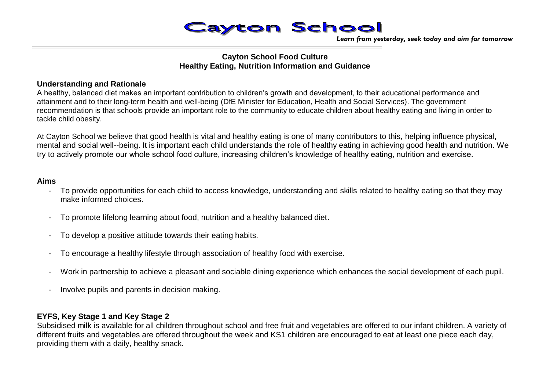

*Learn from yesterday, seek today and aim for tomorrow*

## **Cayton School Food Culture Healthy Eating, Nutrition Information and Guidance**

## **Understanding and Rationale**

A healthy, balanced diet makes an important contribution to children's growth and development, to their educational performance and attainment and to their long-term health and well-being (DfE Minister for Education, Health and Social Services). The government recommendation is that schools provide an important role to the community to educate children about healthy eating and living in order to tackle child obesity.

At Cayton School we believe that good health is vital and healthy eating is one of many contributors to this, helping influence physical, mental and social well--being. It is important each child understands the role of healthy eating in achieving good health and nutrition. We try to actively promote our whole school food culture, increasing children's knowledge of healthy eating, nutrition and exercise.

### **Aims**

- To provide opportunities for each child to access knowledge, understanding and skills related to healthy eating so that they may make informed choices.
- To promote lifelong learning about food, nutrition and a healthy balanced diet.
- To develop a positive attitude towards their eating habits.
- To encourage a healthy lifestyle through association of healthy food with exercise.
- Work in partnership to achieve a pleasant and sociable dining experience which enhances the social development of each pupil.
- Involve pupils and parents in decision making.

## **EYFS, Key Stage 1 and Key Stage 2**

Subsidised milk is available for all children throughout school and free fruit and vegetables are offered to our infant children. A variety of different fruits and vegetables are offered throughout the week and KS1 children are encouraged to eat at least one piece each day, providing them with a daily, healthy snack.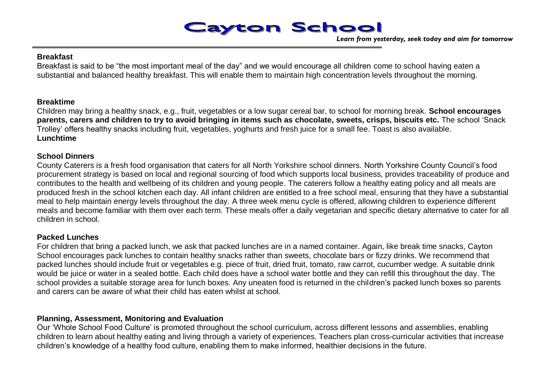*Learn from yesterday, seek today and aim for tomorrow*

### **Breakfast**

Breakfast is said to be "the most important meal of the day" and we would encourage all children come to school having eaten a substantial and balanced healthy breakfast. This will enable them to maintain high concentration levels throughout the morning.

## **Breaktime**

Children may bring a healthy snack, e.g., fruit, vegetables or a low sugar cereal bar, to school for morning break. **School encourages parents, carers and children to try to avoid bringing in items such as chocolate, sweets, crisps, biscuits etc.** The school 'Snack Trolley' offers healthy snacks including fruit, vegetables, yoghurts and fresh juice for a small fee. Toast is also available. **Lunchtime**

## **School Dinners**

County Caterers is a fresh food organisation that caters for all North Yorkshire school dinners. North Yorkshire County Council's food procurement strategy is based on local and regional sourcing of food which supports local business, provides traceability of produce and contributes to the health and wellbeing of its children and young people. The caterers follow a healthy eating policy and all meals are produced fresh in the school kitchen each day. All infant children are entitled to a free school meal, ensuring that they have a substantial meal to help maintain energy levels throughout the day. A three week menu cycle is offered, allowing children to experience different meals and become familiar with them over each term. These meals offer a daily vegetarian and specific dietary alternative to cater for all children in school.

## **Packed Lunches**

For children that bring a packed lunch, we ask that packed lunches are in a named container. Again, like break time snacks, Cayton School encourages pack lunches to contain healthy snacks rather than sweets, chocolate bars or fizzy drinks. We recommend that packed lunches should include fruit or vegetables e.g. piece of fruit, dried fruit, tomato, raw carrot, cucumber wedge. A suitable drink would be juice or water in a sealed bottle. Each child does have a school water bottle and they can refill this throughout the day. The school provides a suitable storage area for lunch boxes. Any uneaten food is returned in the children's packed lunch boxes so parents and carers can be aware of what their child has eaten whilst at school.

## **Planning, Assessment, Monitoring and Evaluation**

Our 'Whole School Food Culture' is promoted throughout the school curriculum, across different lessons and assemblies, enabling children to learn about healthy eating and living through a variety of experiences. Teachers plan cross-curricular activities that increase children's knowledge of a healthy food culture, enabling them to make informed, healthier decisions in the future.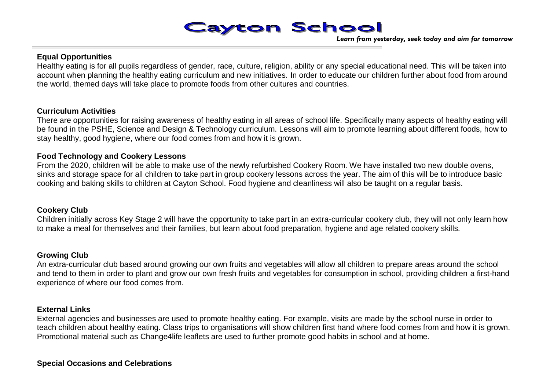*Learn from yesterday, seek today and aim for tomorrow*

## **Equal Opportunities**

Healthy eating is for all pupils regardless of gender, race, culture, religion, ability or any special educational need. This will be taken into account when planning the healthy eating curriculum and new initiatives. In order to educate our children further about food from around the world, themed days will take place to promote foods from other cultures and countries.

### **Curriculum Activities**

There are opportunities for raising awareness of healthy eating in all areas of school life. Specifically many aspects of healthy eating will be found in the PSHE, Science and Design & Technology curriculum. Lessons will aim to promote learning about different foods, how to stay healthy, good hygiene, where our food comes from and how it is grown.

## **Food Technology and Cookery Lessons**

From the 2020, children will be able to make use of the newly refurbished Cookery Room. We have installed two new double ovens, sinks and storage space for all children to take part in group cookery lessons across the year. The aim of this will be to introduce basic cooking and baking skills to children at Cayton School. Food hygiene and cleanliness will also be taught on a regular basis.

## **Cookery Club**

Children initially across Key Stage 2 will have the opportunity to take part in an extra-curricular cookery club, they will not only learn how to make a meal for themselves and their families, but learn about food preparation, hygiene and age related cookery skills.

## **Growing Club**

An extra-curricular club based around growing our own fruits and vegetables will allow all children to prepare areas around the school and tend to them in order to plant and grow our own fresh fruits and vegetables for consumption in school, providing children a first-hand experience of where our food comes from.

## **External Links**

External agencies and businesses are used to promote healthy eating. For example, visits are made by the school nurse in order to teach children about healthy eating. Class trips to organisations will show children first hand where food comes from and how it is grown. Promotional material such as Change4life leaflets are used to further promote good habits in school and at home.